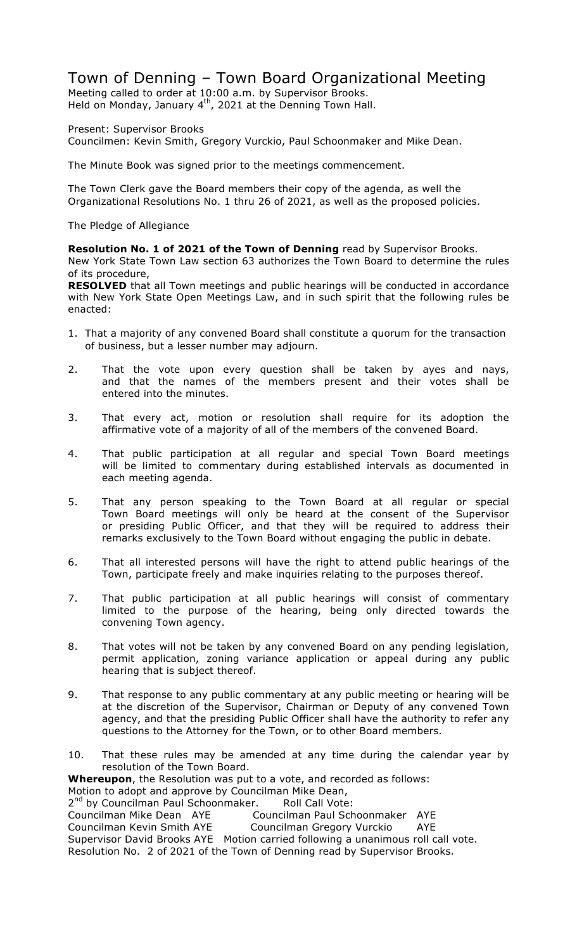# Town of Denning – Town Board Organizational Meeting

Meeting called to order at 10:00 a.m. by Supervisor Brooks. Held on Monday, January  $4<sup>th</sup>$ , 2021 at the Denning Town Hall.

Present: Supervisor Brooks Councilmen: Kevin Smith, Gregory Vurckio, Paul Schoonmaker and Mike Dean.

The Minute Book was signed prior to the meetings commencement.

The Town Clerk gave the Board members their copy of the agenda, as well the Organizational Resolutions No. 1 thru 26 of 2021, as well as the proposed policies.

The Pledge of Allegiance

**Resolution No. 1 of 2021 of the Town of Denning** read by Supervisor Brooks.

New York State Town Law section 63 authorizes the Town Board to determine the rules of its procedure,

**RESOLVED** that all Town meetings and public hearings will be conducted in accordance with New York State Open Meetings Law, and in such spirit that the following rules be enacted:

- 1. That a majority of any convened Board shall constitute a quorum for the transaction of business, but a lesser number may adjourn.
- 2. That the vote upon every question shall be taken by ayes and nays, and that the names of the members present and their votes shall be entered into the minutes.
- 3. That every act, motion or resolution shall require for its adoption the affirmative vote of a majority of all of the members of the convened Board.
- 4. That public participation at all regular and special Town Board meetings will be limited to commentary during established intervals as documented in each meeting agenda.
- 5. That any person speaking to the Town Board at all regular or special Town Board meetings will only be heard at the consent of the Supervisor or presiding Public Officer, and that they will be required to address their remarks exclusively to the Town Board without engaging the public in debate.
- 6. That all interested persons will have the right to attend public hearings of the Town, participate freely and make inquiries relating to the purposes thereof.
- 7. That public participation at all public hearings will consist of commentary limited to the purpose of the hearing, being only directed towards the convening Town agency.
- 8. That votes will not be taken by any convened Board on any pending legislation, permit application, zoning variance application or appeal during any public hearing that is subject thereof.
- 9. That response to any public commentary at any public meeting or hearing will be at the discretion of the Supervisor, Chairman or Deputy of any convened Town agency, and that the presiding Public Officer shall have the authority to refer any questions to the Attorney for the Town, or to other Board members.
- 10. That these rules may be amended at any time during the calendar year by resolution of the Town Board.

**Whereupon**, the Resolution was put to a vote, and recorded as follows:

Motion to adopt and approve by Councilman Mike Dean,

2<sup>nd</sup> by Councilman Paul Schoonmaker. Roll Call Vote:

Councilman Mike Dean AYE Councilman Paul Schoonmaker AYE

Councilman Kevin Smith AYE Councilman Gregory Vurckio AYE

Supervisor David Brooks AYE Motion carried following a unanimous roll call vote. Resolution No. 2 of 2021 of the Town of Denning read by Supervisor Brooks.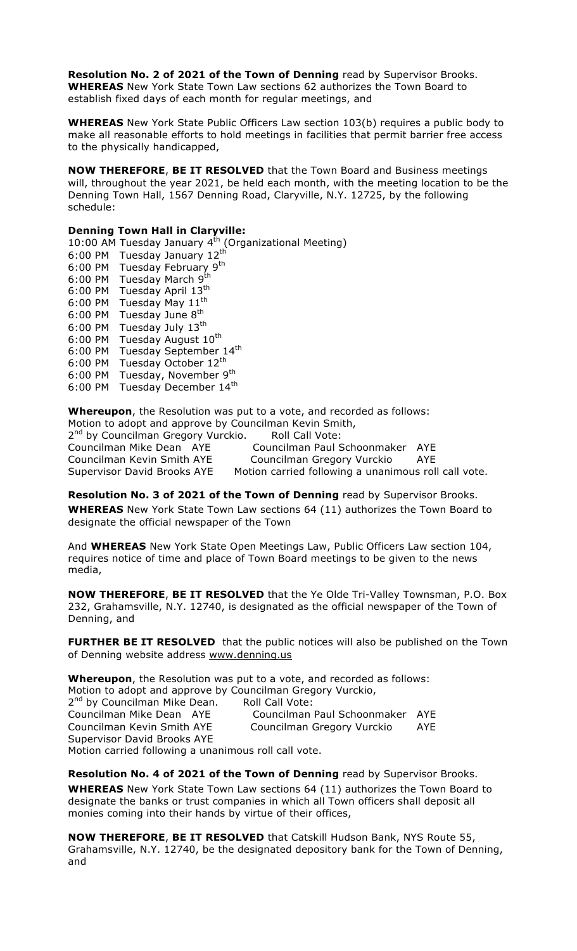**Resolution No. 2 of 2021 of the Town of Denning** read by Supervisor Brooks. **WHEREAS** New York State Town Law sections 62 authorizes the Town Board to establish fixed days of each month for regular meetings, and

**WHEREAS** New York State Public Officers Law section 103(b) requires a public body to make all reasonable efforts to hold meetings in facilities that permit barrier free access to the physically handicapped,

**NOW THEREFORE**, **BE IT RESOLVED** that the Town Board and Business meetings will, throughout the year 2021, be held each month, with the meeting location to be the Denning Town Hall, 1567 Denning Road, Claryville, N.Y. 12725, by the following schedule:

### **Denning Town Hall in Claryville:**

10:00 AM Tuesday January  $4^{th}$  (Organizational Meeting) 6:00 PM Tuesday January 12<sup>th</sup> 6:00 PM Tuesday February 9<sup>th</sup> 6:00 PM Tuesday March 9th 6:00 PM Tuesday April 13<sup>th</sup> 6:00 PM Tuesday May 11<sup>th</sup> 6:00 PM Tuesday June  $8<sup>th</sup>$ 6:00 PM Tuesday July 13th 6:00 PM Tuesday August 10<sup>th</sup> 6:00 PM Tuesday September 14<sup>th</sup> 6:00 PM Tuesday October 12<sup>th</sup> 6:00 PM Tuesday, November 9<sup>th</sup> 6:00 PM Tuesday December 14<sup>th</sup>

**Whereupon**, the Resolution was put to a vote, and recorded as follows: Motion to adopt and approve by Councilman Kevin Smith, 2<sup>nd</sup> by Councilman Gregory Vurckio. Councilman Mike Dean AYE Councilman Paul Schoonmaker AYE Councilman Kevin Smith AYE Councilman Gregory Vurckio AYE Supervisor David Brooks AYE Motion carried following a unanimous roll call vote.

**Resolution No. 3 of 2021 of the Town of Denning** read by Supervisor Brooks. **WHEREAS** New York State Town Law sections 64 (11) authorizes the Town Board to designate the official newspaper of the Town

And **WHEREAS** New York State Open Meetings Law, Public Officers Law section 104, requires notice of time and place of Town Board meetings to be given to the news media,

**NOW THEREFORE**, **BE IT RESOLVED** that the Ye Olde Tri-Valley Townsman, P.O. Box 232, Grahamsville, N.Y. 12740, is designated as the official newspaper of the Town of Denning, and

**FURTHER BE IT RESOLVED** that the public notices will also be published on the Town of Denning website address www.denning.us

**Whereupon**, the Resolution was put to a vote, and recorded as follows: Motion to adopt and approve by Councilman Gregory Vurckio, 2<sup>nd</sup> by Councilman Mike Dean. Roll Call Vote: Councilman Mike Dean AYE Councilman Paul Schoonmaker AYE Councilman Kevin Smith AYE Councilman Gregory Vurckio AYE Supervisor David Brooks AYE Motion carried following a unanimous roll call vote.

**Resolution No. 4 of 2021 of the Town of Denning** read by Supervisor Brooks. **WHEREAS** New York State Town Law sections 64 (11) authorizes the Town Board to designate the banks or trust companies in which all Town officers shall deposit all monies coming into their hands by virtue of their offices,

**NOW THEREFORE**, **BE IT RESOLVED** that Catskill Hudson Bank, NYS Route 55, Grahamsville, N.Y. 12740, be the designated depository bank for the Town of Denning, and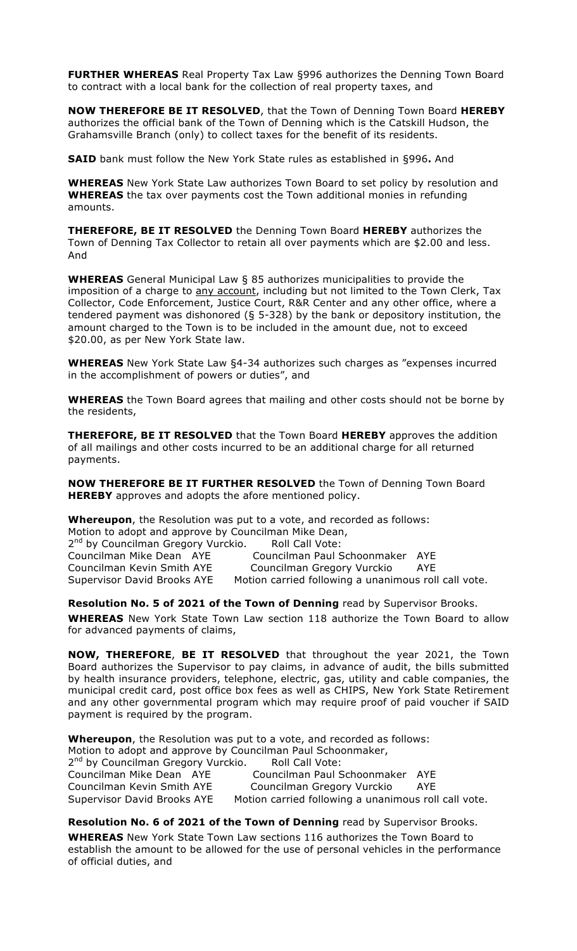**FURTHER WHEREAS** Real Property Tax Law §996 authorizes the Denning Town Board to contract with a local bank for the collection of real property taxes, and

**NOW THEREFORE BE IT RESOLVED**, that the Town of Denning Town Board **HEREBY** authorizes the official bank of the Town of Denning which is the Catskill Hudson, the Grahamsville Branch (only) to collect taxes for the benefit of its residents.

**SAID** bank must follow the New York State rules as established in §996**.** And

**WHEREAS** New York State Law authorizes Town Board to set policy by resolution and **WHEREAS** the tax over payments cost the Town additional monies in refunding amounts.

**THEREFORE, BE IT RESOLVED** the Denning Town Board **HEREBY** authorizes the Town of Denning Tax Collector to retain all over payments which are \$2.00 and less. And

**WHEREAS** General Municipal Law § 85 authorizes municipalities to provide the imposition of a charge to any account, including but not limited to the Town Clerk, Tax Collector, Code Enforcement, Justice Court, R&R Center and any other office, where a tendered payment was dishonored (§ 5-328) by the bank or depository institution, the amount charged to the Town is to be included in the amount due, not to exceed \$20.00, as per New York State law.

**WHEREAS** New York State Law §4-34 authorizes such charges as "expenses incurred in the accomplishment of powers or duties", and

**WHEREAS** the Town Board agrees that mailing and other costs should not be borne by the residents,

**THEREFORE, BE IT RESOLVED** that the Town Board **HEREBY** approves the addition of all mailings and other costs incurred to be an additional charge for all returned payments.

**NOW THEREFORE BE IT FURTHER RESOLVED** the Town of Denning Town Board **HEREBY** approves and adopts the afore mentioned policy.

**Whereupon**, the Resolution was put to a vote, and recorded as follows: Motion to adopt and approve by Councilman Mike Dean, 2<sup>nd</sup> by Councilman Gregory Vurckio. Roll Call Vote: Councilman Mike Dean AYE Councilman Paul Schoonmaker AYE Councilman Kevin Smith AYE Councilman Gregory Vurckio AYE Supervisor David Brooks AYE Motion carried following a unanimous roll call vote.

**Resolution No. 5 of 2021 of the Town of Denning** read by Supervisor Brooks.

**WHEREAS** New York State Town Law section 118 authorize the Town Board to allow for advanced payments of claims,

**NOW, THEREFORE**, **BE IT RESOLVED** that throughout the year 2021, the Town Board authorizes the Supervisor to pay claims, in advance of audit, the bills submitted by health insurance providers, telephone, electric, gas, utility and cable companies, the municipal credit card, post office box fees as well as CHIPS, New York State Retirement and any other governmental program which may require proof of paid voucher if SAID payment is required by the program.

**Whereupon**, the Resolution was put to a vote, and recorded as follows: Motion to adopt and approve by Councilman Paul Schoonmaker, 2<sup>nd</sup> by Councilman Gregory Vurckio. Roll Call Vote:<br>Councilman Mike Dean AYE Councilman Paul S Councilman Paul Schoonmaker AYE Councilman Kevin Smith AYE Councilman Gregory Vurckio AYE Supervisor David Brooks AYE Motion carried following a unanimous roll call vote.

**Resolution No. 6 of 2021 of the Town of Denning** read by Supervisor Brooks.

**WHEREAS** New York State Town Law sections 116 authorizes the Town Board to establish the amount to be allowed for the use of personal vehicles in the performance of official duties, and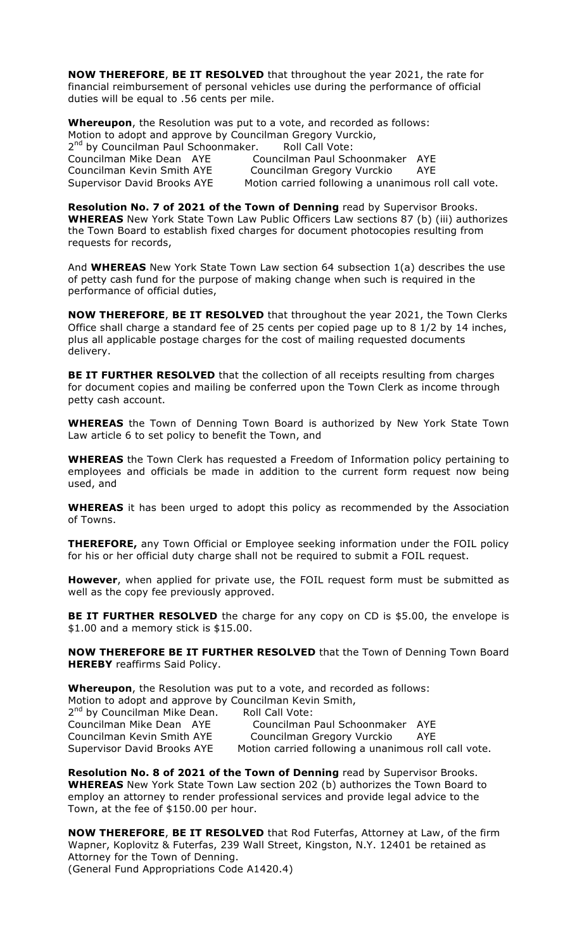**NOW THEREFORE**, **BE IT RESOLVED** that throughout the year 2021, the rate for financial reimbursement of personal vehicles use during the performance of official duties will be equal to .56 cents per mile.

**Whereupon**, the Resolution was put to a vote, and recorded as follows: Motion to adopt and approve by Councilman Gregory Vurckio, 2<sup>nd</sup> by Councilman Paul Schoonmaker. Roll Call Vote: Councilman Paul Schoonmaker AYE Councilman Mike Dean AYE Councilman Paul Schoonmaker AYE<br>Councilman Kevin Smith AYE Councilman Gregory Vurckio AYE Supervisor David Brooks AYE Motion carried following a unanimous roll call vote.

**Resolution No. 7 of 2021 of the Town of Denning** read by Supervisor Brooks. **WHEREAS** New York State Town Law Public Officers Law sections 87 (b) (iii) authorizes the Town Board to establish fixed charges for document photocopies resulting from requests for records,

And **WHEREAS** New York State Town Law section 64 subsection 1(a) describes the use of petty cash fund for the purpose of making change when such is required in the performance of official duties,

**NOW THEREFORE**, **BE IT RESOLVED** that throughout the year 2021, the Town Clerks Office shall charge a standard fee of 25 cents per copied page up to 8 1/2 by 14 inches, plus all applicable postage charges for the cost of mailing requested documents delivery.

**BE IT FURTHER RESOLVED** that the collection of all receipts resulting from charges for document copies and mailing be conferred upon the Town Clerk as income through petty cash account.

**WHEREAS** the Town of Denning Town Board is authorized by New York State Town Law article 6 to set policy to benefit the Town, and

**WHEREAS** the Town Clerk has requested a Freedom of Information policy pertaining to employees and officials be made in addition to the current form request now being used, and

**WHEREAS** it has been urged to adopt this policy as recommended by the Association of Towns.

**THEREFORE,** any Town Official or Employee seeking information under the FOIL policy for his or her official duty charge shall not be required to submit a FOIL request.

**However**, when applied for private use, the FOIL request form must be submitted as well as the copy fee previously approved.

**BE IT FURTHER RESOLVED** the charge for any copy on CD is \$5.00, the envelope is \$1.00 and a memory stick is \$15.00.

**NOW THEREFORE BE IT FURTHER RESOLVED** that the Town of Denning Town Board **HEREBY** reaffirms Said Policy.

**Whereupon**, the Resolution was put to a vote, and recorded as follows: Motion to adopt and approve by Councilman Kevin Smith, 2<sup>nd</sup> by Councilman Mike Dean. Roll Call Vote: Councilman Mike Dean AYE Councilman Paul Schoonmaker AYE

Councilman Kevin Smith AYE Councilman Gregory Vurckio AYE Supervisor David Brooks AYE Motion carried following a unanimous roll call vote.

**Resolution No. 8 of 2021 of the Town of Denning** read by Supervisor Brooks. **WHEREAS** New York State Town Law section 202 (b) authorizes the Town Board to employ an attorney to render professional services and provide legal advice to the Town, at the fee of \$150.00 per hour.

**NOW THEREFORE**, **BE IT RESOLVED** that Rod Futerfas, Attorney at Law, of the firm Wapner, Koplovitz & Futerfas, 239 Wall Street, Kingston, N.Y. 12401 be retained as Attorney for the Town of Denning. (General Fund Appropriations Code A1420.4)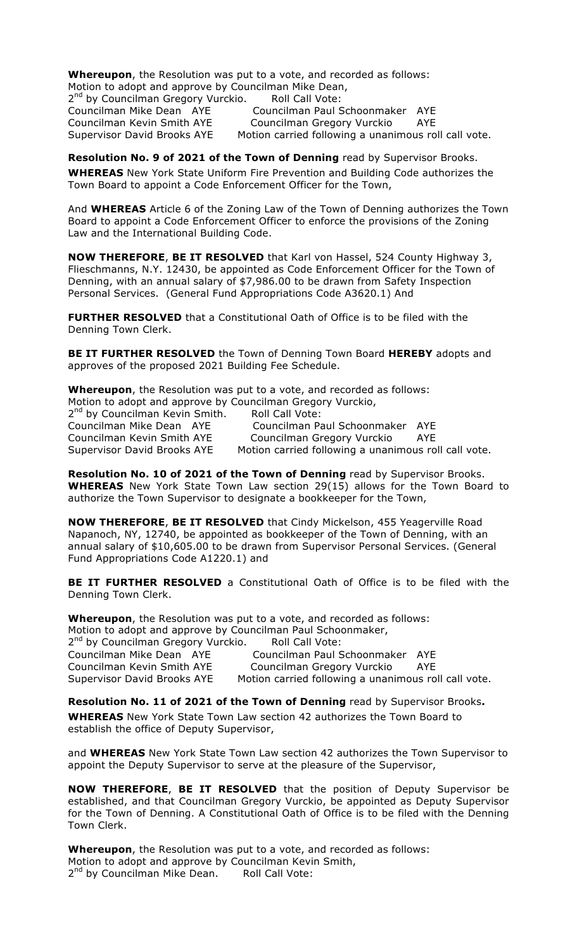**Whereupon**, the Resolution was put to a vote, and recorded as follows: Motion to adopt and approve by Councilman Mike Dean, 2<sup>nd</sup> by Councilman Gregory Vurckio. Roll Call Vote:

Councilman Mike Dean AYE Councilman Paul Schoonmaker AYE Councilman Kevin Smith AYE Councilman Gregory Vurckio AYE Supervisor David Brooks AYE Motion carried following a unanimous roll call vote.

**Resolution No. 9 of 2021 of the Town of Denning** read by Supervisor Brooks. **WHEREAS** New York State Uniform Fire Prevention and Building Code authorizes the Town Board to appoint a Code Enforcement Officer for the Town,

And **WHEREAS** Article 6 of the Zoning Law of the Town of Denning authorizes the Town Board to appoint a Code Enforcement Officer to enforce the provisions of the Zoning Law and the International Building Code.

**NOW THEREFORE**, **BE IT RESOLVED** that Karl von Hassel, 524 County Highway 3, Flieschmanns, N.Y. 12430, be appointed as Code Enforcement Officer for the Town of Denning, with an annual salary of \$7,986.00 to be drawn from Safety Inspection Personal Services. (General Fund Appropriations Code A3620.1) And

**FURTHER RESOLVED** that a Constitutional Oath of Office is to be filed with the Denning Town Clerk.

**BE IT FURTHER RESOLVED** the Town of Denning Town Board **HEREBY** adopts and approves of the proposed 2021 Building Fee Schedule.

**Whereupon**, the Resolution was put to a vote, and recorded as follows: Motion to adopt and approve by Councilman Gregory Vurckio, 2<sup>nd</sup> by Councilman Kevin Smith. Roll Call Vote: Councilman Mike Dean AYE Councilman Paul Schoonmaker AYE Councilman Kevin Smith AYE Councilman Gregory Vurckio AYE

Supervisor David Brooks AYE Motion carried following a unanimous roll call vote.

**Resolution No. 10 of 2021 of the Town of Denning** read by Supervisor Brooks. **WHEREAS** New York State Town Law section 29(15) allows for the Town Board to authorize the Town Supervisor to designate a bookkeeper for the Town,

**NOW THEREFORE**, **BE IT RESOLVED** that Cindy Mickelson, 455 Yeagerville Road Napanoch, NY, 12740, be appointed as bookkeeper of the Town of Denning, with an annual salary of \$10,605.00 to be drawn from Supervisor Personal Services. (General Fund Appropriations Code A1220.1) and

**BE IT FURTHER RESOLVED** a Constitutional Oath of Office is to be filed with the Denning Town Clerk.

**Whereupon**, the Resolution was put to a vote, and recorded as follows: Motion to adopt and approve by Councilman Paul Schoonmaker, 2<sup>nd</sup> by Councilman Gregory Vurckio. Roll Call Vote: Councilman Mike Dean AYE Councilman Paul Schoonmaker AYE Councilman Kevin Smith AYE Councilman Gregory Vurckio AYE

Supervisor David Brooks AYE Motion carried following a unanimous roll call vote.

**Resolution No. 11 of 2021 of the Town of Denning** read by Supervisor Brooks**. WHEREAS** New York State Town Law section 42 authorizes the Town Board to establish the office of Deputy Supervisor,

and **WHEREAS** New York State Town Law section 42 authorizes the Town Supervisor to appoint the Deputy Supervisor to serve at the pleasure of the Supervisor,

**NOW THEREFORE**, **BE IT RESOLVED** that the position of Deputy Supervisor be established, and that Councilman Gregory Vurckio, be appointed as Deputy Supervisor for the Town of Denning. A Constitutional Oath of Office is to be filed with the Denning Town Clerk.

**Whereupon**, the Resolution was put to a vote, and recorded as follows: Motion to adopt and approve by Councilman Kevin Smith, 2<sup>nd</sup> by Councilman Mike Dean. Roll Call Vote: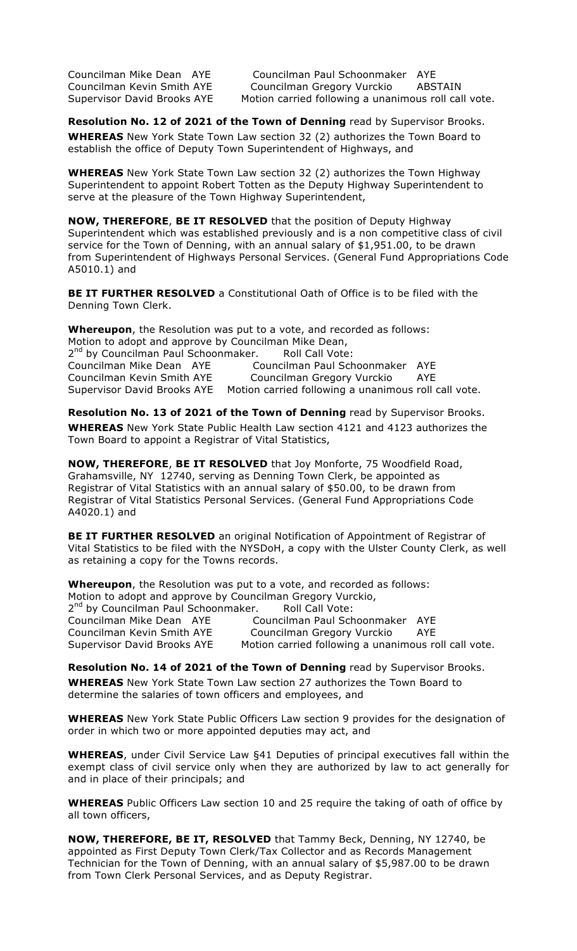Councilman Mike Dean AYE Councilman Paul Schoonmaker AYE Councilman Kevin Smith AYE Councilman Gregory Vurckio ABSTAIN Supervisor David Brooks AYE Motion carried following a unanimous roll call vote.

**Resolution No. 12 of 2021 of the Town of Denning** read by Supervisor Brooks. **WHEREAS** New York State Town Law section 32 (2) authorizes the Town Board to establish the office of Deputy Town Superintendent of Highways, and

**WHEREAS** New York State Town Law section 32 (2) authorizes the Town Highway Superintendent to appoint Robert Totten as the Deputy Highway Superintendent to serve at the pleasure of the Town Highway Superintendent,

**NOW, THEREFORE**, **BE IT RESOLVED** that the position of Deputy Highway Superintendent which was established previously and is a non competitive class of civil service for the Town of Denning, with an annual salary of \$1,951.00, to be drawn from Superintendent of Highways Personal Services. (General Fund Appropriations Code A5010.1) and

**BE IT FURTHER RESOLVED** a Constitutional Oath of Office is to be filed with the Denning Town Clerk.

**Whereupon**, the Resolution was put to a vote, and recorded as follows: Motion to adopt and approve by Councilman Mike Dean, 2<sup>nd</sup> by Councilman Paul Schoonmaker. Roll Call Vote:<br>Councilman Mike Dean AYE Councilman Paul Sch Councilman Paul Schoonmaker AYE Councilman Kevin Smith AYE Councilman Gregory Vurckio AYE Supervisor David Brooks AYE Motion carried following a unanimous roll call vote.

**Resolution No. 13 of 2021 of the Town of Denning** read by Supervisor Brooks. **WHEREAS** New York State Public Health Law section 4121 and 4123 authorizes the Town Board to appoint a Registrar of Vital Statistics,

**NOW, THEREFORE**, **BE IT RESOLVED** that Joy Monforte, 75 Woodfield Road, Grahamsville, NY 12740, serving as Denning Town Clerk, be appointed as Registrar of Vital Statistics with an annual salary of \$50.00, to be drawn from Registrar of Vital Statistics Personal Services. (General Fund Appropriations Code A4020.1) and

**BE IT FURTHER RESOLVED** an original Notification of Appointment of Registrar of Vital Statistics to be filed with the NYSDoH, a copy with the Ulster County Clerk, as well as retaining a copy for the Towns records.

**Whereupon**, the Resolution was put to a vote, and recorded as follows: Motion to adopt and approve by Councilman Gregory Vurckio,<br>2<sup>nd</sup> by Councilman Paul Schoonmaker. Roll Call Vote: <sup>1</sup> by Councilman Paul Schoonmaker. And Call Vote: Councilman Mike Dean AYE Councilman Paul Schoonmaker AYE Councilman Kevin Smith AYE Councilman Gregory Vurckio AYE Supervisor David Brooks AYE Motion carried following a unanimous roll call vote.

**Resolution No. 14 of 2021 of the Town of Denning** read by Supervisor Brooks. **WHEREAS** New York State Town Law section 27 authorizes the Town Board to determine the salaries of town officers and employees, and

**WHEREAS** New York State Public Officers Law section 9 provides for the designation of order in which two or more appointed deputies may act, and

**WHEREAS**, under Civil Service Law §41 Deputies of principal executives fall within the exempt class of civil service only when they are authorized by law to act generally for and in place of their principals; and

**WHEREAS** Public Officers Law section 10 and 25 require the taking of oath of office by all town officers,

**NOW, THEREFORE, BE IT, RESOLVED** that Tammy Beck, Denning, NY 12740, be appointed as First Deputy Town Clerk/Tax Collector and as Records Management Technician for the Town of Denning, with an annual salary of \$5,987.00 to be drawn from Town Clerk Personal Services, and as Deputy Registrar.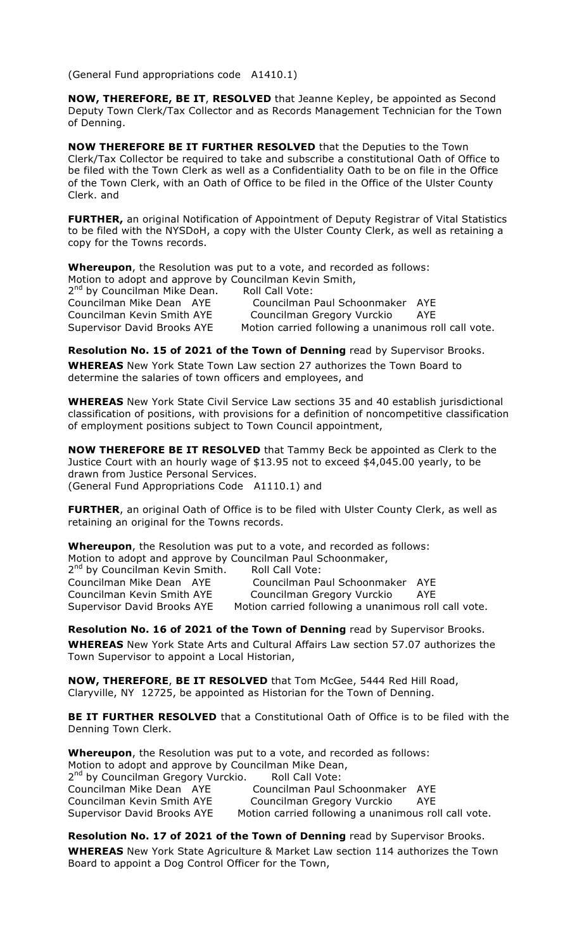(General Fund appropriations code A1410.1)

**NOW, THEREFORE, BE IT**, **RESOLVED** that Jeanne Kepley, be appointed as Second Deputy Town Clerk/Tax Collector and as Records Management Technician for the Town of Denning.

**NOW THEREFORE BE IT FURTHER RESOLVED** that the Deputies to the Town Clerk/Tax Collector be required to take and subscribe a constitutional Oath of Office to be filed with the Town Clerk as well as a Confidentiality Oath to be on file in the Office of the Town Clerk, with an Oath of Office to be filed in the Office of the Ulster County Clerk. and

**FURTHER,** an original Notification of Appointment of Deputy Registrar of Vital Statistics to be filed with the NYSDoH, a copy with the Ulster County Clerk, as well as retaining a copy for the Towns records.

**Whereupon**, the Resolution was put to a vote, and recorded as follows: Motion to adopt and approve by Councilman Kevin Smith, 2<sup>nd</sup> by Councilman Mike Dean. Roll Call Vote:

Councilman Mike Dean AYE Councilman Paul Schoonmaker AYE Councilman Kevin Smith AYE Councilman Gregory Vurckio AYE Supervisor David Brooks AYE Motion carried following a unanimous roll call vote.

### **Resolution No. 15 of 2021 of the Town of Denning** read by Supervisor Brooks.

**WHEREAS** New York State Town Law section 27 authorizes the Town Board to determine the salaries of town officers and employees, and

**WHEREAS** New York State Civil Service Law sections 35 and 40 establish jurisdictional classification of positions, with provisions for a definition of noncompetitive classification of employment positions subject to Town Council appointment,

**NOW THEREFORE BE IT RESOLVED** that Tammy Beck be appointed as Clerk to the Justice Court with an hourly wage of \$13.95 not to exceed \$4,045.00 yearly, to be drawn from Justice Personal Services. (General Fund Appropriations Code A1110.1) and

**FURTHER**, an original Oath of Office is to be filed with Ulster County Clerk, as well as retaining an original for the Towns records.

**Whereupon**, the Resolution was put to a vote, and recorded as follows: Motion to adopt and approve by Councilman Paul Schoonmaker,

2<sup>nd</sup> by Councilman Kevin Smith. Roll Call Vote: Councilman Mike Dean AYE Councilman Paul Schoonmaker AYE Councilman Kevin Smith AYE Councilman Gregory Vurckio AYE Supervisor David Brooks AYE Motion carried following a unanimous roll call vote.

**Resolution No. 16 of 2021 of the Town of Denning** read by Supervisor Brooks. **WHEREAS** New York State Arts and Cultural Affairs Law section 57.07 authorizes the Town Supervisor to appoint a Local Historian,

**NOW, THEREFORE**, **BE IT RESOLVED** that Tom McGee, 5444 Red Hill Road, Claryville, NY 12725, be appointed as Historian for the Town of Denning.

**BE IT FURTHER RESOLVED** that a Constitutional Oath of Office is to be filed with the Denning Town Clerk.

**Whereupon**, the Resolution was put to a vote, and recorded as follows: Motion to adopt and approve by Councilman Mike Dean, 2<sup>nd</sup> by Councilman Gregory Vurckio. Roll Call Vote: Councilman Mike Dean AYE Councilman Paul Schoonmaker AYE Councilman Kevin Smith AYE Councilman Gregory Vurckio AYE Supervisor David Brooks AYE Motion carried following a unanimous roll call vote.

**Resolution No. 17 of 2021 of the Town of Denning** read by Supervisor Brooks. **WHEREAS** New York State Agriculture & Market Law section 114 authorizes the Town Board to appoint a Dog Control Officer for the Town,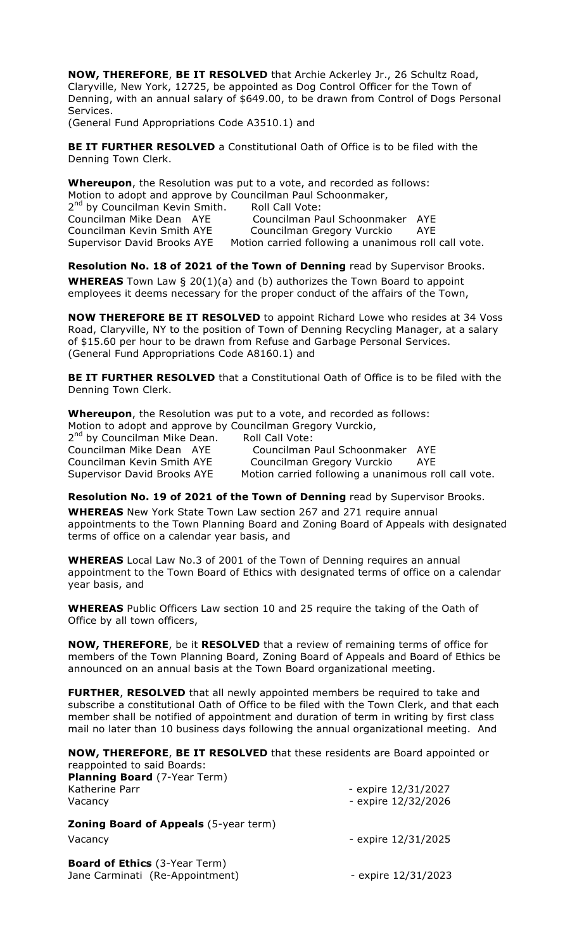**NOW, THEREFORE**, **BE IT RESOLVED** that Archie Ackerley Jr., 26 Schultz Road, Claryville, New York, 12725, be appointed as Dog Control Officer for the Town of Denning, with an annual salary of \$649.00, to be drawn from Control of Dogs Personal Services.

(General Fund Appropriations Code A3510.1) and

**BE IT FURTHER RESOLVED** a Constitutional Oath of Office is to be filed with the Denning Town Clerk.

**Whereupon**, the Resolution was put to a vote, and recorded as follows: Motion to adopt and approve by Councilman Paul Schoonmaker, 2<sup>nd</sup> by Councilman Kevin Smith. Roll Call Vote: Councilman Mike Dean AYE Councilman Paul Schoonmaker AYE Councilman Kevin Smith AYE Councilman Gregory Vurckio AYE Supervisor David Brooks AYE Motion carried following a unanimous roll call vote.

**Resolution No. 18 of 2021 of the Town of Denning** read by Supervisor Brooks.

**WHEREAS** Town Law § 20(1)(a) and (b) authorizes the Town Board to appoint employees it deems necessary for the proper conduct of the affairs of the Town,

**NOW THEREFORE BE IT RESOLVED** to appoint Richard Lowe who resides at 34 Voss Road, Claryville, NY to the position of Town of Denning Recycling Manager, at a salary of \$15.60 per hour to be drawn from Refuse and Garbage Personal Services. (General Fund Appropriations Code A8160.1) and

**BE IT FURTHER RESOLVED** that a Constitutional Oath of Office is to be filed with the Denning Town Clerk.

**Whereupon**, the Resolution was put to a vote, and recorded as follows: Motion to adopt and approve by Councilman Gregory Vurckio,

2<sup>nd</sup> by Councilman Mike Dean. Roll Call Vote: Councilman Mike Dean AYE Councilman Paul Schoonmaker AYE Councilman Kevin Smith AYE Councilman Gregory Vurckio AYE Supervisor David Brooks AYE Motion carried following a unanimous roll call vote.

**Resolution No. 19 of 2021 of the Town of Denning** read by Supervisor Brooks. **WHEREAS** New York State Town Law section 267 and 271 require annual

appointments to the Town Planning Board and Zoning Board of Appeals with designated terms of office on a calendar year basis, and

**WHEREAS** Local Law No.3 of 2001 of the Town of Denning requires an annual appointment to the Town Board of Ethics with designated terms of office on a calendar year basis, and

**WHEREAS** Public Officers Law section 10 and 25 require the taking of the Oath of Office by all town officers,

**NOW, THEREFORE**, be it **RESOLVED** that a review of remaining terms of office for members of the Town Planning Board, Zoning Board of Appeals and Board of Ethics be announced on an annual basis at the Town Board organizational meeting.

**FURTHER**, **RESOLVED** that all newly appointed members be required to take and subscribe a constitutional Oath of Office to be filed with the Town Clerk, and that each member shall be notified of appointment and duration of term in writing by first class mail no later than 10 business days following the annual organizational meeting. And

**NOW, THEREFORE**, **BE IT RESOLVED** that these residents are Board appointed or reappointed to said Boards:

| <b>Planning Board</b> (7-Year Term)<br>Katherine Parr<br>Vacancy        | - expire 12/31/2027<br>- expire 12/32/2026 |
|-------------------------------------------------------------------------|--------------------------------------------|
| <b>Zoning Board of Appeals</b> (5-year term)<br>Vacancy                 | - expire 12/31/2025                        |
| <b>Board of Ethics</b> (3-Year Term)<br>Jane Carminati (Re-Appointment) | - expire 12/31/2023                        |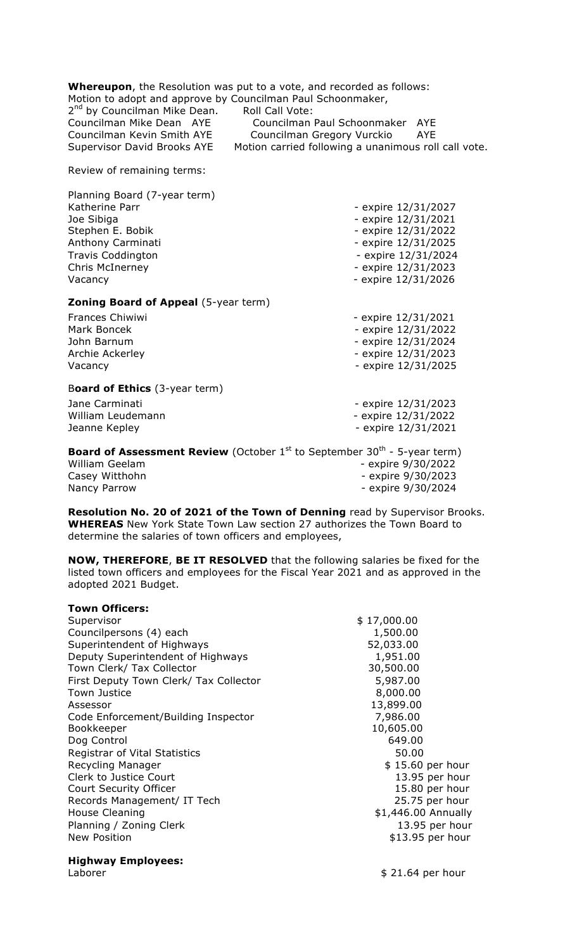| 2 <sup>nd</sup> by Councilman Mike Dean.    | <b>Whereupon</b> , the Resolution was put to a vote, and recorded as follows:<br>Motion to adopt and approve by Councilman Paul Schoonmaker,<br>Roll Call Vote: |
|---------------------------------------------|-----------------------------------------------------------------------------------------------------------------------------------------------------------------|
| Councilman Mike Dean AYE                    | Councilman Paul Schoonmaker AYE                                                                                                                                 |
| Councilman Kevin Smith AYE                  | Councilman Gregory Vurckio<br><b>AYE</b>                                                                                                                        |
| <b>Supervisor David Brooks AYE</b>          | Motion carried following a unanimous roll call vote.                                                                                                            |
| Review of remaining terms:                  |                                                                                                                                                                 |
| Planning Board (7-year term)                |                                                                                                                                                                 |
| Katherine Parr                              | - expire 12/31/2027                                                                                                                                             |
| Joe Sibiga                                  | - expire 12/31/2021                                                                                                                                             |
| Stephen E. Bobik                            | - expire 12/31/2022                                                                                                                                             |
| Anthony Carminati                           | - expire 12/31/2025                                                                                                                                             |
| <b>Travis Coddington</b>                    | - expire 12/31/2024                                                                                                                                             |
| Chris McInerney                             | - expire 12/31/2023                                                                                                                                             |
| Vacancy                                     | - expire 12/31/2026                                                                                                                                             |
| <b>Zoning Board of Appeal (5-year term)</b> |                                                                                                                                                                 |
| <b>Frances Chiwiwi</b>                      | - expire 12/31/2021                                                                                                                                             |
| Mark Boncek                                 | - expire 12/31/2022                                                                                                                                             |
| John Barnum                                 | - expire 12/31/2024                                                                                                                                             |
| Archie Ackerley                             | - expire 12/31/2023                                                                                                                                             |
| Vacancy                                     | - expire 12/31/2025                                                                                                                                             |
| Board of Ethics (3-year term)               |                                                                                                                                                                 |
| Jane Carminati                              | - expire 12/31/2023                                                                                                                                             |
| William Leudemann                           | - expire 12/31/2022                                                                                                                                             |
| Jeanne Kepley                               | - expire 12/31/2021                                                                                                                                             |
|                                             | <b>Board of Assessment Review</b> (October $1^{st}$ to September 30 <sup>th</sup> - 5-year term)                                                                |
| <b>William Geelam</b>                       | - expire 9/30/2022                                                                                                                                              |
| Casey Witthohn                              | - expire 9/30/2023                                                                                                                                              |
| Nancy Parrow                                | - expire 9/30/2024                                                                                                                                              |

**Resolution No. 20 of 2021 of the Town of Denning** read by Supervisor Brooks. **WHEREAS** New York State Town Law section 27 authorizes the Town Board to determine the salaries of town officers and employees,

**NOW, THEREFORE**, **BE IT RESOLVED** that the following salaries be fixed for the listed town officers and employees for the Fiscal Year 2021 and as approved in the adopted 2021 Budget.

| <b>Town Officers:</b>                  |                     |
|----------------------------------------|---------------------|
| Supervisor                             | \$17,000.00         |
| Councilpersons (4) each                | 1,500.00            |
| Superintendent of Highways             | 52,033.00           |
| Deputy Superintendent of Highways      | 1,951.00            |
| Town Clerk/ Tax Collector              | 30,500.00           |
| First Deputy Town Clerk/ Tax Collector | 5,987.00            |
| <b>Town Justice</b>                    | 8,000.00            |
| Assessor                               | 13,899.00           |
| Code Enforcement/Building Inspector    | 7,986.00            |
| Bookkeeper                             | 10,605.00           |
| Dog Control                            | 649.00              |
| Registrar of Vital Statistics          | 50.00               |
| Recycling Manager                      | \$15.60 per hour    |
| Clerk to Justice Court                 | 13.95 per hour      |
| <b>Court Security Officer</b>          | 15.80 per hour      |
| Records Management/ IT Tech            | 25.75 per hour      |
| House Cleaning                         | \$1,446.00 Annually |
| Planning / Zoning Clerk                | 13.95 per hour      |
| <b>New Position</b>                    | \$13.95 per hour    |
|                                        |                     |

# **Highway Employees:**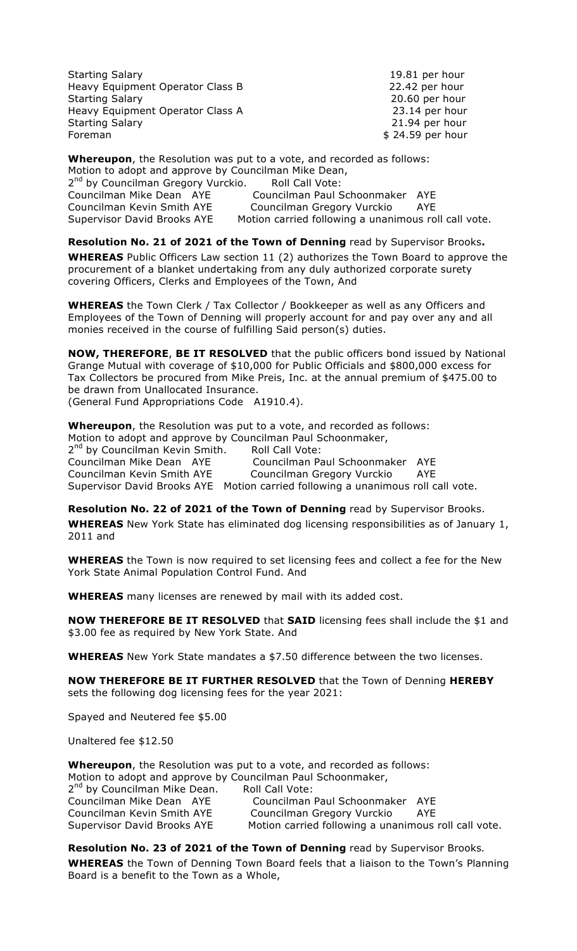Starting Salary 19.81 per hour Heavy Equipment Operator Class B 22.42 per hour Starting Salary 20.60 per hour Heavy Equipment Operator Class A 23.14 per hour Starting Salary 21.94 per hour Foreman \$ 24.59 per hour

**Whereupon**, the Resolution was put to a vote, and recorded as follows:

Motion to adopt and approve by Councilman Mike Dean, 2<sup>nd</sup> by Councilman Gregory Vurckio. Roll Call Vote: Councilman Mike Dean AYE Councilman Paul Schoonmaker AYE Councilman Kevin Smith AYE Councilman Gregory Vurckio AYE Supervisor David Brooks AYE Motion carried following a unanimous roll call vote.

**Resolution No. 21 of 2021 of the Town of Denning** read by Supervisor Brooks**.**

**WHEREAS** Public Officers Law section 11 (2) authorizes the Town Board to approve the procurement of a blanket undertaking from any duly authorized corporate surety covering Officers, Clerks and Employees of the Town, And

**WHEREAS** the Town Clerk / Tax Collector / Bookkeeper as well as any Officers and Employees of the Town of Denning will properly account for and pay over any and all monies received in the course of fulfilling Said person(s) duties.

**NOW, THEREFORE**, **BE IT RESOLVED** that the public officers bond issued by National Grange Mutual with coverage of \$10,000 for Public Officials and \$800,000 excess for Tax Collectors be procured from Mike Preis, Inc. at the annual premium of \$475.00 to be drawn from Unallocated Insurance.

(General Fund Appropriations Code A1910.4).

**Whereupon**, the Resolution was put to a vote, and recorded as follows: Motion to adopt and approve by Councilman Paul Schoonmaker, 2<sup>nd</sup> by Councilman Kevin Smith. Roll Call Vote: Councilman Mike Dean AYE Councilman Paul Schoonmaker AYE Councilman Kevin Smith AYE Councilman Gregory Vurckio AYE

Supervisor David Brooks AYE Motion carried following a unanimous roll call vote.

**Resolution No. 22 of 2021 of the Town of Denning** read by Supervisor Brooks.

**WHEREAS** New York State has eliminated dog licensing responsibilities as of January 1, 2011 and

**WHEREAS** the Town is now required to set licensing fees and collect a fee for the New York State Animal Population Control Fund. And

**WHEREAS** many licenses are renewed by mail with its added cost.

**NOW THEREFORE BE IT RESOLVED** that **SAID** licensing fees shall include the \$1 and \$3.00 fee as required by New York State. And

**WHEREAS** New York State mandates a \$7.50 difference between the two licenses.

**NOW THEREFORE BE IT FURTHER RESOLVED** that the Town of Denning **HEREBY** sets the following dog licensing fees for the year 2021:

Spayed and Neutered fee \$5.00

Unaltered fee \$12.50

**Whereupon**, the Resolution was put to a vote, and recorded as follows: Motion to adopt and approve by Councilman Paul Schoonmaker, 2<sup>nd</sup> by Councilman Mike Dean. Roll Call Vote: Councilman Mike Dean AYE Councilman Paul Schoonmaker AYE Councilman Kevin Smith AYE Councilman Gregory Vurckio AYE Supervisor David Brooks AYE Motion carried following a unanimous roll call vote.

**Resolution No. 23 of 2021 of the Town of Denning** read by Supervisor Brooks*.* **WHEREAS** the Town of Denning Town Board feels that a liaison to the Town's Planning Board is a benefit to the Town as a Whole,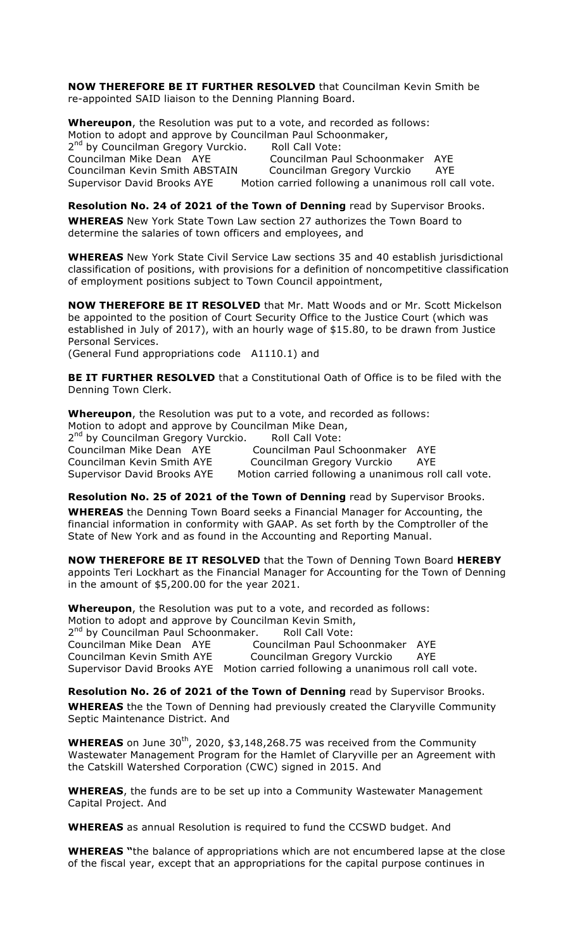**NOW THEREFORE BE IT FURTHER RESOLVED** that Councilman Kevin Smith be re-appointed SAID liaison to the Denning Planning Board.

**Whereupon**, the Resolution was put to a vote, and recorded as follows: Motion to adopt and approve by Councilman Paul Schoonmaker, 2<sup>nd</sup> by Councilman Gregory Vurckio. Roll Call Vote: Councilman Mike Dean AYE Councilman Paul Schoonmaker AYE Councilman Kevin Smith ABSTAIN Councilman Gregory Vurckio AYE Supervisor David Brooks AYE Motion carried following a unanimous roll call vote.

**Resolution No. 24 of 2021 of the Town of Denning** read by Supervisor Brooks. **WHEREAS** New York State Town Law section 27 authorizes the Town Board to determine the salaries of town officers and employees, and

**WHEREAS** New York State Civil Service Law sections 35 and 40 establish jurisdictional classification of positions, with provisions for a definition of noncompetitive classification of employment positions subject to Town Council appointment,

**NOW THEREFORE BE IT RESOLVED** that Mr. Matt Woods and or Mr. Scott Mickelson be appointed to the position of Court Security Office to the Justice Court (which was established in July of 2017), with an hourly wage of \$15.80, to be drawn from Justice Personal Services.

(General Fund appropriations code A1110.1) and

**BE IT FURTHER RESOLVED** that a Constitutional Oath of Office is to be filed with the Denning Town Clerk.

**Whereupon**, the Resolution was put to a vote, and recorded as follows: Motion to adopt and approve by Councilman Mike Dean, 2<sup>nd</sup> by Councilman Gregory Vurckio. Roll Call Vote: Councilman Mike Dean AYE Councilman Paul Schoonmaker AYE Councilman Kevin Smith AYE Councilman Gregory Vurckio AYE Supervisor David Brooks AYE Motion carried following a unanimous roll call vote.

**Resolution No. 25 of 2021 of the Town of Denning** read by Supervisor Brooks. **WHEREAS** the Denning Town Board seeks a Financial Manager for Accounting, the financial information in conformity with GAAP. As set forth by the Comptroller of the State of New York and as found in the Accounting and Reporting Manual.

**NOW THEREFORE BE IT RESOLVED** that the Town of Denning Town Board **HEREBY** appoints Teri Lockhart as the Financial Manager for Accounting for the Town of Denning in the amount of \$5,200.00 for the year 2021.

**Whereupon**, the Resolution was put to a vote, and recorded as follows: Motion to adopt and approve by Councilman Kevin Smith, 2<sup>nd</sup> by Councilman Paul Schoonmaker. Roll Call Vote:<br>Councilman Mike Dean AYE Councilman Paul Sch Councilman Paul Schoonmaker AYE Councilman Kevin Smith AYE Councilman Gregory Vurckio AYE Supervisor David Brooks AYE Motion carried following a unanimous roll call vote.

**Resolution No. 26 of 2021 of the Town of Denning** read by Supervisor Brooks. **WHEREAS** the the Town of Denning had previously created the Claryville Community Septic Maintenance District. And

**WHEREAS** on June 30<sup>th</sup>, 2020, \$3,148,268.75 was received from the Community Wastewater Management Program for the Hamlet of Claryville per an Agreement with the Catskill Watershed Corporation (CWC) signed in 2015. And

**WHEREAS**, the funds are to be set up into a Community Wastewater Management Capital Project. And

**WHEREAS** as annual Resolution is required to fund the CCSWD budget. And

**WHEREAS "**the balance of appropriations which are not encumbered lapse at the close of the fiscal year, except that an appropriations for the capital purpose continues in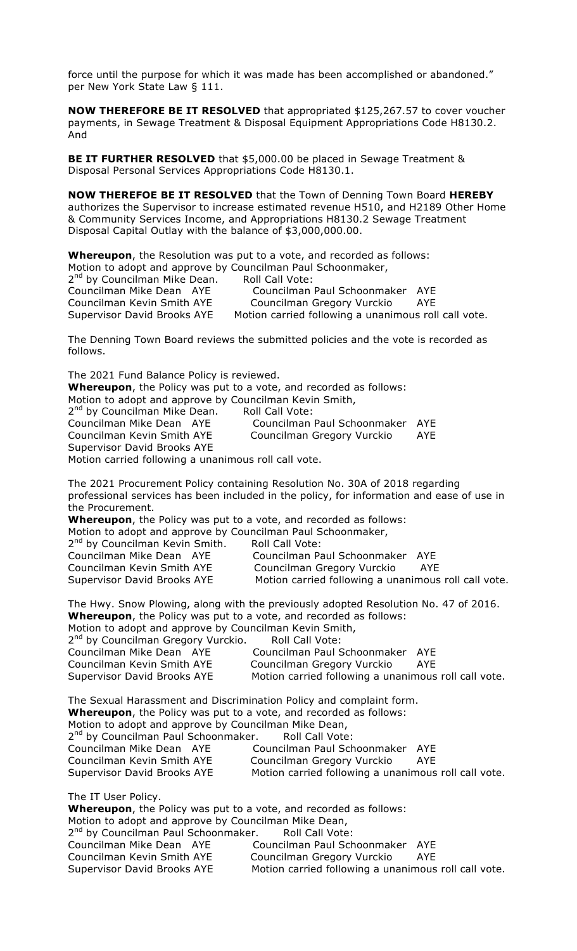force until the purpose for which it was made has been accomplished or abandoned." per New York State Law § 111.

**NOW THEREFORE BE IT RESOLVED** that appropriated \$125,267.57 to cover voucher payments, in Sewage Treatment & Disposal Equipment Appropriations Code H8130.2. And

**BE IT FURTHER RESOLVED** that \$5,000.00 be placed in Sewage Treatment & Disposal Personal Services Appropriations Code H8130.1.

**NOW THEREFOE BE IT RESOLVED** that the Town of Denning Town Board **HEREBY** authorizes the Supervisor to increase estimated revenue H510, and H2189 Other Home & Community Services Income, and Appropriations H8130.2 Sewage Treatment Disposal Capital Outlay with the balance of \$3,000,000.00.

**Whereupon**, the Resolution was put to a vote, and recorded as follows: Motion to adopt and approve by Councilman Paul Schoonmaker, 2<sup>nd</sup> by Councilman Mike Dean. Roll Call Vote: Councilman Mike Dean AYE Councilman Paul Schoonmaker AYE Councilman Kevin Smith AYE Councilman Gregory Vurckio AYE Supervisor David Brooks AYE Motion carried following a unanimous roll call vote.

The Denning Town Board reviews the submitted policies and the vote is recorded as follows.

The 2021 Fund Balance Policy is reviewed. **Whereupon**, the Policy was put to a vote, and recorded as follows: Motion to adopt and approve by Councilman Kevin Smith, 2<sup>nd</sup> by Councilman Mike Dean. Roll Call Vote: Councilman Mike Dean AYE Councilman Paul Schoonmaker AYE Councilman Gregory Vurckio AYE Supervisor David Brooks AYE Motion carried following a unanimous roll call vote.

The 2021 Procurement Policy containing Resolution No. 30A of 2018 regarding professional services has been included in the policy, for information and ease of use in the Procurement.

**Whereupon**, the Policy was put to a vote, and recorded as follows:

|                                                                                                                                 | Motion to adopt and approve by Councilman Paul Schoonmaker, |
|---------------------------------------------------------------------------------------------------------------------------------|-------------------------------------------------------------|
| $\mathsf{and} \quad \mathsf{a} \quad \mathsf{b} \quad \mathsf{b} \quad \mathsf{b} \quad \mathsf{c} \quad \mathsf{b} \mathsf{b}$ |                                                             |

| 2 <sup>nd</sup> by Councilman Kevin Smith. | <b>Roll Call Vote:</b>                               |
|--------------------------------------------|------------------------------------------------------|
| Councilman Mike Dean AYE                   | Councilman Paul Schoonmaker AYE                      |
| Councilman Kevin Smith AYE                 | Councilman Gregory Vurckio<br>AYE                    |
| Supervisor David Brooks AYE                | Motion carried following a unanimous roll call vote. |

The Hwy. Snow Plowing, along with the previously adopted Resolution No. 47 of 2016. **Whereupon**, the Policy was put to a vote, and recorded as follows:

Motion to adopt and approve by Councilman Kevin Smith,

| 2 <sup>nd</sup> by Councilman Gregory Vurckio. | Roll Call Vote:                                      |     |
|------------------------------------------------|------------------------------------------------------|-----|
| Councilman Mike Dean AYE                       | Councilman Paul Schoonmaker AYE                      |     |
| Councilman Kevin Smith AYE                     | Councilman Gregory Vurckio                           | AYE |
| <b>Supervisor David Brooks AYE</b>             | Motion carried following a unanimous roll call vote. |     |

The Sexual Harassment and Discrimination Policy and complaint form. **Whereupon**, the Policy was put to a vote, and recorded as follows: Motion to adopt and approve by Councilman Mike Dean, 2<sup>nd</sup> by Councilman Paul Schoonmaker. Roll Call Vote: Councilman Mike Dean AYE Councilman Paul Schoonmaker AYE Councilman Kevin Smith AYE Councilman Gregory Vurckio AYE Supervisor David Brooks AYE Motion carried following a unanimous roll call vote. The IT User Policy.

**Whereupon**, the Policy was put to a vote, and recorded as follows: Motion to adopt and approve by Councilman Mike Dean, 2<sup>nd</sup> by Councilman Paul Schoonmaker. Roll Call Vote: Councilman Mike Dean AYE Councilman Paul Schoonmaker AYE Councilman Kevin Smith AYE Councilman Gregory Vurckio AYE<br>Supervisor David Brooks AYE Motion carried following a unanimous Motion carried following a unanimous roll call vote.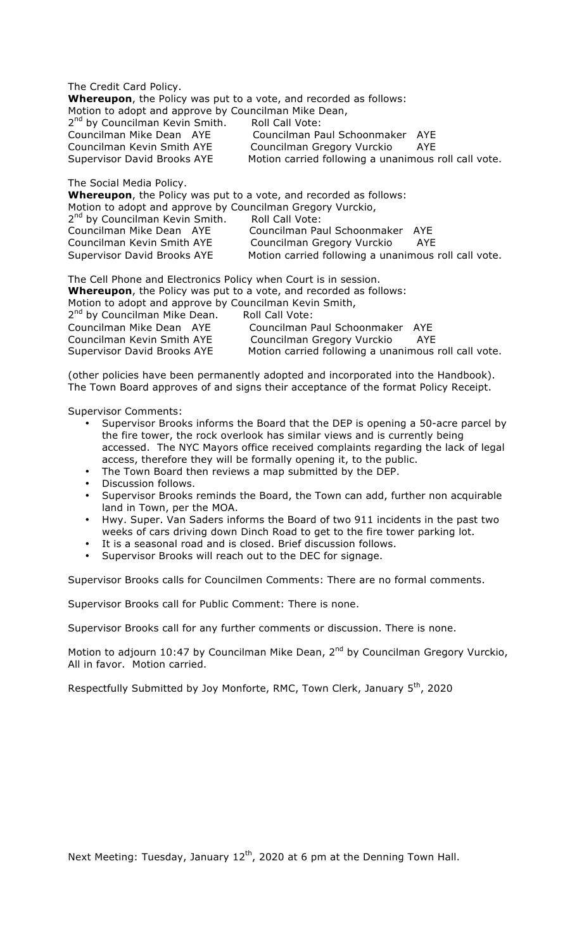The Credit Card Policy. **Whereupon**, the Policy was put to a vote, and recorded as follows: Motion to adopt and approve by Councilman Mike Dean, 2<sup>nd</sup> by Councilman Kevin Smith. Roll Call Vote: Councilman Mike Dean AYE Councilman Paul Schoonmaker AYE Councilman Kevin Smith AYE Councilman Gregory Vurckio AYE Supervisor David Brooks AYE Motion carried following a unanimous roll call vote. The Social Media Policy.

**Whereupon**, the Policy was put to a vote, and recorded as follows: Motion to adopt and approve by Councilman Gregory Vurckio, 2<sup>nd</sup> by Councilman Kevin Smith. Roll Call Vote: Councilman Mike Dean AYE Councilman Paul Schoonmaker AYE Councilman Kevin Smith AYE Councilman Gregory Vurckio AYE<br>Supervisor David Brooks AYE Motion carried following a unanimous Motion carried following a unanimous roll call vote.

The Cell Phone and Electronics Policy when Court is in session. **Whereupon**, the Policy was put to a vote, and recorded as follows: Motion to adopt and approve by Councilman Kevin Smith, 2<sup>nd</sup> by Councilman Mike Dean. Roll Call Vote: Councilman Mike Dean AYE Councilman Paul Schoonmaker AYE Councilman Kevin Smith AYE Councilman Gregory Vurckio AYE Supervisor David Brooks AYE Motion carried following a unanimous roll call vote.

(other policies have been permanently adopted and incorporated into the Handbook). The Town Board approves of and signs their acceptance of the format Policy Receipt.

Supervisor Comments:

- Supervisor Brooks informs the Board that the DEP is opening a 50-acre parcel by the fire tower, the rock overlook has similar views and is currently being accessed. The NYC Mayors office received complaints regarding the lack of legal access, therefore they will be formally opening it, to the public.
- The Town Board then reviews a map submitted by the DEP.
- Discussion follows.
- Supervisor Brooks reminds the Board, the Town can add, further non acquirable land in Town, per the MOA.
- Hwy. Super. Van Saders informs the Board of two 911 incidents in the past two weeks of cars driving down Dinch Road to get to the fire tower parking lot.
- It is a seasonal road and is closed. Brief discussion follows.
- Supervisor Brooks will reach out to the DEC for signage.

Supervisor Brooks calls for Councilmen Comments: There are no formal comments.

Supervisor Brooks call for Public Comment: There is none.

Supervisor Brooks call for any further comments or discussion. There is none.

Motion to adjourn 10:47 by Councilman Mike Dean, 2<sup>nd</sup> by Councilman Gregory Vurckio, All in favor. Motion carried.

Respectfully Submitted by Joy Monforte, RMC, Town Clerk, January 5<sup>th</sup>, 2020

Next Meeting: Tuesday, January  $12^{th}$ , 2020 at 6 pm at the Denning Town Hall.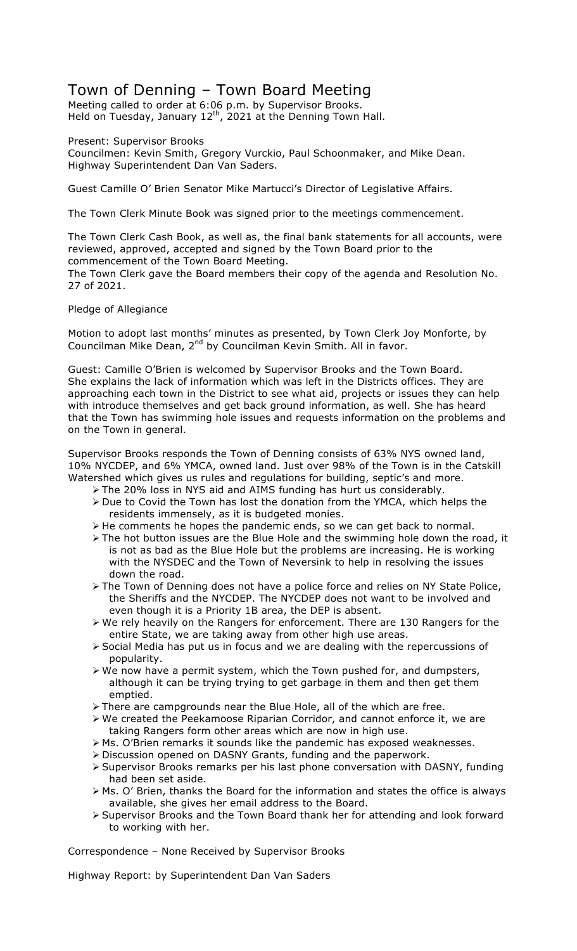## Town of Denning – Town Board Meeting

Meeting called to order at 6:06 p.m. by Supervisor Brooks. Held on Tuesday, January  $12<sup>th</sup>$ , 2021 at the Denning Town Hall.

Present: Supervisor Brooks

Councilmen: Kevin Smith, Gregory Vurckio, Paul Schoonmaker, and Mike Dean. Highway Superintendent Dan Van Saders.

Guest Camille O' Brien Senator Mike Martucci's Director of Legislative Affairs.

The Town Clerk Minute Book was signed prior to the meetings commencement.

The Town Clerk Cash Book, as well as, the final bank statements for all accounts, were reviewed, approved, accepted and signed by the Town Board prior to the commencement of the Town Board Meeting.

The Town Clerk gave the Board members their copy of the agenda and Resolution No. 27 of 2021.

### Pledge of Allegiance

Motion to adopt last months' minutes as presented, by Town Clerk Joy Monforte, by Councilman Mike Dean, 2<sup>nd</sup> by Councilman Kevin Smith. All in favor.

Guest: Camille O'Brien is welcomed by Supervisor Brooks and the Town Board. She explains the lack of information which was left in the Districts offices. They are approaching each town in the District to see what aid, projects or issues they can help with introduce themselves and get back ground information, as well. She has heard that the Town has swimming hole issues and requests information on the problems and on the Town in general.

Supervisor Brooks responds the Town of Denning consists of 63% NYS owned land, 10% NYCDEP, and 6% YMCA, owned land. Just over 98% of the Town is in the Catskill Watershed which gives us rules and regulations for building, septic's and more.

- > The 20% loss in NYS aid and AIMS funding has hurt us considerably.
- $\triangleright$  Due to Covid the Town has lost the donation from the YMCA, which helps the residents immensely, as it is budgeted monies.
- ! He comments he hopes the pandemic ends, so we can get back to normal.
- $\triangleright$  The hot button issues are the Blue Hole and the swimming hole down the road, it is not as bad as the Blue Hole but the problems are increasing. He is working with the NYSDEC and the Town of Neversink to help in resolving the issues down the road.
- $\triangleright$  The Town of Denning does not have a police force and relies on NY State Police, the Sheriffs and the NYCDEP. The NYCDEP does not want to be involved and even though it is a Priority 1B area, the DEP is absent.
- ! We rely heavily on the Rangers for enforcement. There are 130 Rangers for the entire State, we are taking away from other high use areas.
- $\triangleright$  Social Media has put us in focus and we are dealing with the repercussions of popularity.
- $\triangleright$  We now have a permit system, which the Town pushed for, and dumpsters, although it can be trying trying to get garbage in them and then get them emptied.
- $\triangleright$  There are campgrounds near the Blue Hole, all of the which are free.
- $\triangleright$  We created the Peekamoose Riparian Corridor, and cannot enforce it, we are taking Rangers form other areas which are now in high use.
- > Ms. O'Brien remarks it sounds like the pandemic has exposed weaknesses.
- ! Discussion opened on DASNY Grants, funding and the paperwork.
- ! Supervisor Brooks remarks per his last phone conversation with DASNY, funding had been set aside.
- ! Ms. O' Brien, thanks the Board for the information and states the office is always available, she gives her email address to the Board.
- ! Supervisor Brooks and the Town Board thank her for attending and look forward to working with her.

Correspondence – None Received by Supervisor Brooks

Highway Report: by Superintendent Dan Van Saders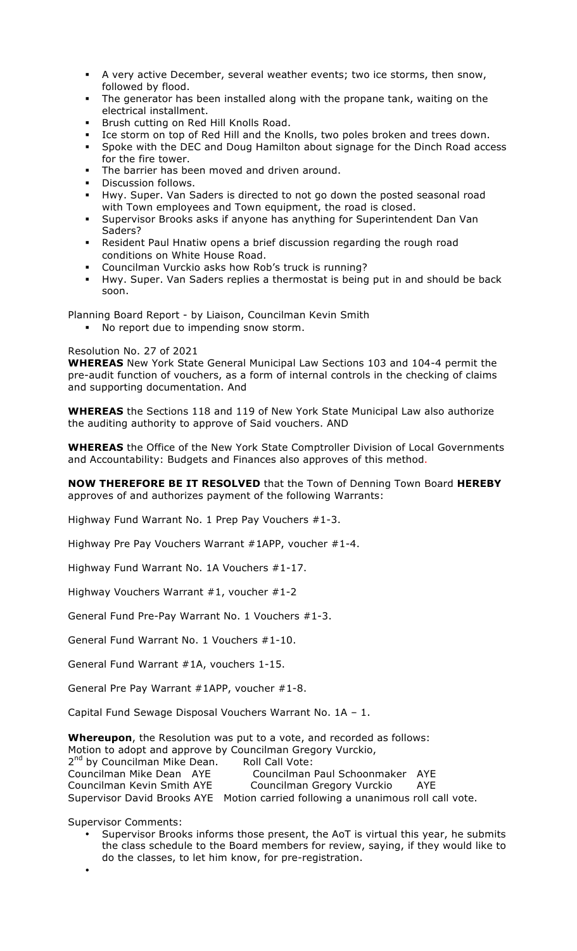- A very active December, several weather events; two ice storms, then snow, followed by flood.
- The generator has been installed along with the propane tank, waiting on the electrical installment.
- " Brush cutting on Red Hill Knolls Road.
- " Ice storm on top of Red Hill and the Knolls, two poles broken and trees down.
- Spoke with the DEC and Doug Hamilton about signage for the Dinch Road access for the fire tower.
- The barrier has been moved and driven around.
- Discussion follows.
- Hwy. Super. Van Saders is directed to not go down the posted seasonal road with Town employees and Town equipment, the road is closed.
- Supervisor Brooks asks if anyone has anything for Superintendent Dan Van Saders?
- " Resident Paul Hnatiw opens a brief discussion regarding the rough road conditions on White House Road.
- Councilman Vurckio asks how Rob's truck is running?
- " Hwy. Super. Van Saders replies a thermostat is being put in and should be back soon.

Planning Board Report - by Liaison, Councilman Kevin Smith

" No report due to impending snow storm.

### Resolution No. 27 of 2021

**WHEREAS** New York State General Municipal Law Sections 103 and 104-4 permit the pre-audit function of vouchers, as a form of internal controls in the checking of claims and supporting documentation. And

**WHEREAS** the Sections 118 and 119 of New York State Municipal Law also authorize the auditing authority to approve of Said vouchers. AND

**WHEREAS** the Office of the New York State Comptroller Division of Local Governments and Accountability: Budgets and Finances also approves of this method.

### **NOW THEREFORE BE IT RESOLVED** that the Town of Denning Town Board **HEREBY** approves of and authorizes payment of the following Warrants:

Highway Fund Warrant No. 1 Prep Pay Vouchers #1-3.

Highway Pre Pay Vouchers Warrant #1APP, voucher #1-4.

Highway Fund Warrant No. 1A Vouchers #1-17.

Highway Vouchers Warrant #1, voucher #1-2

General Fund Pre-Pay Warrant No. 1 Vouchers #1-3.

General Fund Warrant No. 1 Vouchers #1-10.

General Fund Warrant #1A, vouchers 1-15.

General Pre Pay Warrant #1APP, voucher #1-8.

Capital Fund Sewage Disposal Vouchers Warrant No. 1A – 1.

**Whereupon**, the Resolution was put to a vote, and recorded as follows: Motion to adopt and approve by Councilman Gregory Vurckio, 2<sup>nd</sup> by Councilman Mike Dean. Roll Call Vote:<br>Councilman Mike Dean AYE Councilman Councilman Paul Schoonmaker AYE Councilman Kevin Smith AYE Councilman Gregory Vurckio AYE Supervisor David Brooks AYE Motion carried following a unanimous roll call vote.

Supervisor Comments:

- Supervisor Brooks informs those present, the AoT is virtual this year, he submits the class schedule to the Board members for review, saying, if they would like to do the classes, to let him know, for pre-registration.
- •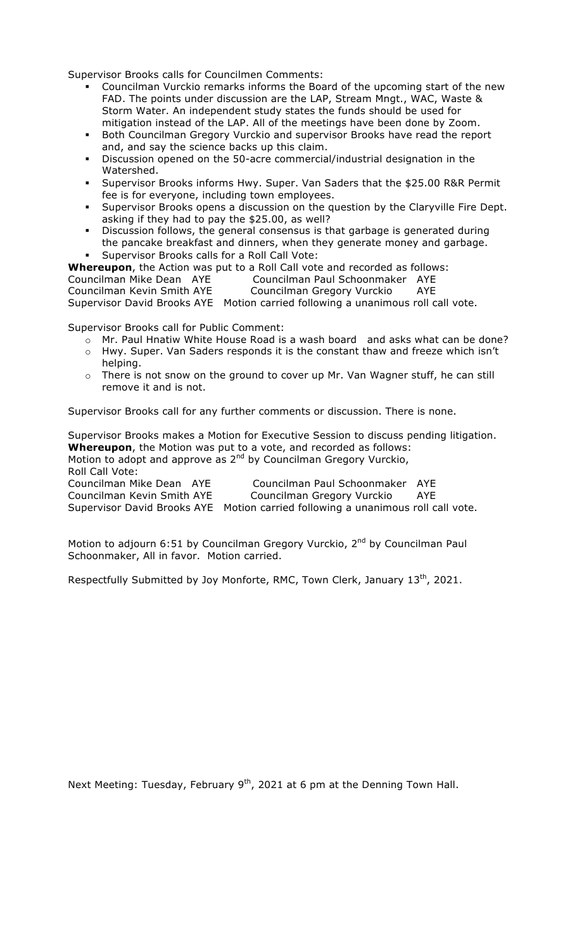Supervisor Brooks calls for Councilmen Comments:

- " Councilman Vurckio remarks informs the Board of the upcoming start of the new FAD. The points under discussion are the LAP, Stream Mngt., WAC, Waste & Storm Water. An independent study states the funds should be used for mitigation instead of the LAP. All of the meetings have been done by Zoom.
- " Both Councilman Gregory Vurckio and supervisor Brooks have read the report and, and say the science backs up this claim.
- Discussion opened on the 50-acre commercial/industrial designation in the Watershed.
- " Supervisor Brooks informs Hwy. Super. Van Saders that the \$25.00 R&R Permit fee is for everyone, including town employees.
- " Supervisor Brooks opens a discussion on the question by the Claryville Fire Dept. asking if they had to pay the \$25.00, as well?
- Discussion follows, the general consensus is that garbage is generated during
- the pancake breakfast and dinners, when they generate money and garbage. Supervisor Brooks calls for a Roll Call Vote:

**Whereupon**, the Action was put to a Roll Call vote and recorded as follows: Councilman Mike Dean AYE Councilman Paul Schoonmaker AYE Councilman Kevin Smith AYE Councilman Gregory Vurckio AYE Supervisor David Brooks AYE Motion carried following a unanimous roll call vote.

Supervisor Brooks call for Public Comment:

- o Mr. Paul Hnatiw White House Road is a wash board and asks what can be done?
- o Hwy. Super. Van Saders responds it is the constant thaw and freeze which isn't helping.
- o There is not snow on the ground to cover up Mr. Van Wagner stuff, he can still remove it and is not.

Supervisor Brooks call for any further comments or discussion. There is none.

Supervisor Brooks makes a Motion for Executive Session to discuss pending litigation. **Whereupon**, the Motion was put to a vote, and recorded as follows: Motion to adopt and approve as  $2^{nd}$  by Councilman Gregory Vurckio, Roll Call Vote: Councilman Mike Dean AYE Councilman Paul Schoonmaker AYE Councilman Kevin Smith AYE Councilman Gregory Vurckio AYE Supervisor David Brooks AYE Motion carried following a unanimous roll call vote.

Motion to adjourn 6:51 by Councilman Gregory Vurckio, 2<sup>nd</sup> by Councilman Paul Schoonmaker, All in favor. Motion carried.

Respectfully Submitted by Joy Monforte, RMC, Town Clerk, January 13<sup>th</sup>, 2021.

Next Meeting: Tuesday, February 9<sup>th</sup>, 2021 at 6 pm at the Denning Town Hall.